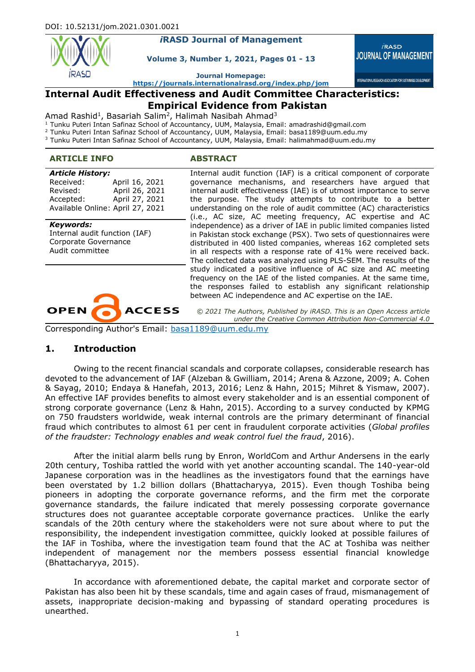

# *i***RASD Journal of Management**

**Volume 3, Number 1, 2021, Pages 01 - 13**

 $i$ RASD **JOURNAL OF MANAGEMENT** 

INTERNATIONAL RESEARCH ASSOCIATION FOR SUSTAINABLE DEVELOPMEN

**Journal Homepage:**

**<https://journals.internationalrasd.org/index.php/jom>**

# **Internal Audit Effectiveness and Audit Committee Characteristics:**

# **Empirical Evidence from Pakistan**

Amad Rashid<sup>1</sup>, Basariah Salim<sup>2</sup>, Halimah Nasibah Ahmad<sup>3</sup>

<sup>1</sup> Tunku Puteri Intan Safinaz School of Accountancy, UUM, Malaysia, Email: amadrashid@gmail.com

<sup>2</sup> Tunku Puteri Intan Safinaz School of Accountancy, UUM, Malaysia, Email: basa1189@uum.edu.my

#### **ARTICLE INFO ABSTRACT**

| <b>Article History:</b>          |                |
|----------------------------------|----------------|
| Received:                        | April 16, 2021 |
| Revised:                         | April 26, 2021 |
| Accepted:                        | April 27, 2021 |
| Available Online: April 27, 2021 |                |

#### *Keywords:*

Internal audit function (IAF) Corporate Governance Audit committee



Internal audit function (IAF) is a critical component of corporate governance mechanisms, and researchers have argued that internal audit effectiveness (IAE) is of utmost importance to serve the purpose. The study attempts to contribute to a better understanding on the role of audit committee (AC) characteristics (i.e., AC size, AC meeting frequency, AC expertise and AC independence) as a driver of IAE in public limited companies listed in Pakistan stock exchange (PSX). Two sets of questionnaires were distributed in 400 listed companies, whereas 162 completed sets in all respects with a response rate of 41% were received back. The collected data was analyzed using PLS-SEM. The results of the study indicated a positive influence of AC size and AC meeting frequency on the IAE of the listed companies. At the same time, the responses failed to establish any significant relationship between AC independence and AC expertise on the IAE.

*© 2021 The Authors, Published by iRASD. This is an Open Access article under the Creative Common Attribution Non-Commercial 4.0*

Corresponding Author's Email: basa1189@uum.edu.my

#### **1. Introduction**

Owing to the recent financial scandals and corporate collapses, considerable research has devoted to the advancement of IAF (Alzeban & Gwilliam, 2014; Arena & Azzone, 2009; A. Cohen & Sayag, 2010; Endaya & Hanefah, 2013, 2016; Lenz & Hahn, 2015; Mihret & Yismaw, 2007). An effective IAF provides benefits to almost every stakeholder and is an essential component of strong corporate governance (Lenz & Hahn, 2015). According to a survey conducted by KPMG on 750 fraudsters worldwide, weak internal controls are the primary determinant of financial fraud which contributes to almost 61 per cent in fraudulent corporate activities (*Global profiles of the fraudster: Technology enables and weak control fuel the fraud*, 2016).

After the initial alarm bells rung by Enron, WorldCom and Arthur Andersens in the early 20th century, Toshiba rattled the world with yet another accounting scandal. The 140-year-old Japanese corporation was in the headlines as the investigators found that the earnings have been overstated by 1.2 billion dollars (Bhattacharyya, 2015). Even though Toshiba being pioneers in adopting the corporate governance reforms, and the firm met the corporate governance standards, the failure indicated that merely possessing corporate governance structures does not guarantee acceptable corporate governance practices. Unlike the early scandals of the 20th century where the stakeholders were not sure about where to put the responsibility, the independent investigation committee, quickly looked at possible failures of the IAF in Toshiba, where the investigation team found that the AC at Toshiba was neither independent of management nor the members possess essential financial knowledge (Bhattacharyya, 2015).

In accordance with aforementioned debate, the capital market and corporate sector of Pakistan has also been hit by these scandals, time and again cases of fraud, mismanagement of assets, inappropriate decision-making and bypassing of standard operating procedures is unearthed.

<sup>3</sup> Tunku Puteri Intan Safinaz School of Accountancy, UUM, Malaysia, Email: halimahmad@uum.edu.my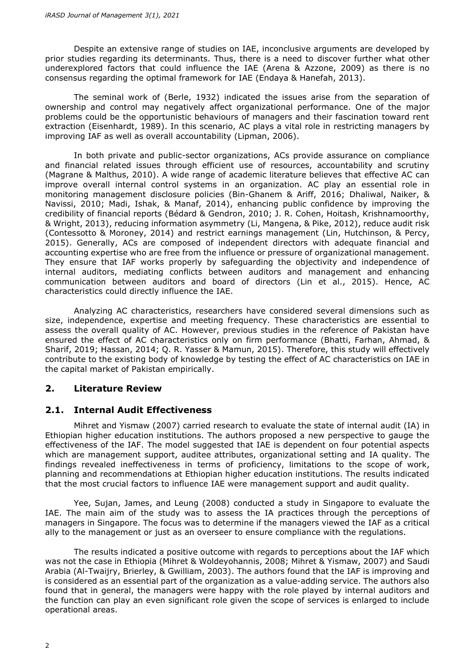Despite an extensive range of studies on IAE, inconclusive arguments are developed by prior studies regarding its determinants. Thus, there is a need to discover further what other underexplored factors that could influence the IAE (Arena & Azzone, 2009) as there is no consensus regarding the optimal framework for IAE (Endaya & Hanefah, 2013).

The seminal work of (Berle, 1932) indicated the issues arise from the separation of ownership and control may negatively affect organizational performance. One of the major problems could be the opportunistic behaviours of managers and their fascination toward rent extraction (Eisenhardt, 1989). In this scenario, AC plays a vital role in restricting managers by improving IAF as well as overall accountability (Lipman, 2006).

In both private and public-sector organizations, ACs provide assurance on compliance and financial related issues through efficient use of resources, accountability and scrutiny (Magrane & Malthus, 2010). A wide range of academic literature believes that effective AC can improve overall internal control systems in an organization. AC play an essential role in monitoring management disclosure policies (Bin-Ghanem & Ariff, 2016; Dhaliwal, Naiker, & Navissi, 2010; Madi, Ishak, & Manaf, 2014), enhancing public confidence by improving the credibility of financial reports (Bédard & Gendron, 2010; J. R. Cohen, Hoitash, Krishnamoorthy, & Wright, 2013), reducing information asymmetry (Li, Mangena, & Pike, 2012), reduce audit risk (Contessotto & Moroney, 2014) and restrict earnings management (Lin, Hutchinson, & Percy, 2015). Generally, ACs are composed of independent directors with adequate financial and accounting expertise who are free from the influence or pressure of organizational management. They ensure that IAF works properly by safeguarding the objectivity and independence of internal auditors, mediating conflicts between auditors and management and enhancing communication between auditors and board of directors (Lin et al., 2015). Hence, AC characteristics could directly influence the IAE.

Analyzing AC characteristics, researchers have considered several dimensions such as size, independence, expertise and meeting frequency. These characteristics are essential to assess the overall quality of AC. However, previous studies in the reference of Pakistan have ensured the effect of AC characteristics only on firm performance (Bhatti, Farhan, Ahmad, & Sharif, 2019; Hassan, 2014; Q. R. Yasser & Mamun, 2015). Therefore, this study will effectively contribute to the existing body of knowledge by testing the effect of AC characteristics on IAE in the capital market of Pakistan empirically.

# **2. Literature Review**

# **2.1. Internal Audit Effectiveness**

Mihret and Yismaw (2007) carried research to evaluate the state of internal audit (IA) in Ethiopian higher education institutions. The authors proposed a new perspective to gauge the effectiveness of the IAF. The model suggested that IAE is dependent on four potential aspects which are management support, auditee attributes, organizational setting and IA quality. The findings revealed ineffectiveness in terms of proficiency, limitations to the scope of work, planning and recommendations at Ethiopian higher education institutions. The results indicated that the most crucial factors to influence IAE were management support and audit quality.

Yee, Sujan, James, and Leung (2008) conducted a study in Singapore to evaluate the IAE. The main aim of the study was to assess the IA practices through the perceptions of managers in Singapore. The focus was to determine if the managers viewed the IAF as a critical ally to the management or just as an overseer to ensure compliance with the regulations.

The results indicated a positive outcome with regards to perceptions about the IAF which was not the case in Ethiopia (Mihret & Woldeyohannis, 2008; Mihret & Yismaw, 2007) and Saudi Arabia (Al-Twaijry, Brierley, & Gwilliam, 2003). The authors found that the IAF is improving and is considered as an essential part of the organization as a value-adding service. The authors also found that in general, the managers were happy with the role played by internal auditors and the function can play an even significant role given the scope of services is enlarged to include operational areas.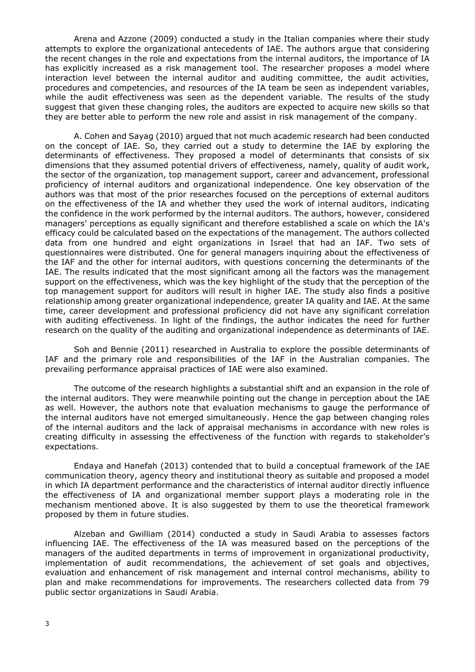Arena and Azzone (2009) conducted a study in the Italian companies where their study attempts to explore the organizational antecedents of IAE. The authors argue that considering the recent changes in the role and expectations from the internal auditors, the importance of IA has explicitly increased as a risk management tool. The researcher proposes a model where interaction level between the internal auditor and auditing committee, the audit activities, procedures and competencies, and resources of the IA team be seen as independent variables, while the audit effectiveness was seen as the dependent variable. The results of the study suggest that given these changing roles, the auditors are expected to acquire new skills so that they are better able to perform the new role and assist in risk management of the company.

A. Cohen and Sayag (2010) argued that not much academic research had been conducted on the concept of IAE. So, they carried out a study to determine the IAE by exploring the determinants of effectiveness. They proposed a model of determinants that consists of six dimensions that they assumed potential drivers of effectiveness, namely, quality of audit work, the sector of the organization, top management support, career and advancement, professional proficiency of internal auditors and organizational independence. One key observation of the authors was that most of the prior researches focused on the perceptions of external auditors on the effectiveness of the IA and whether they used the work of internal auditors, indicating the confidence in the work performed by the internal auditors. The authors, however, considered managers' perceptions as equally significant and therefore established a scale on which the IA's efficacy could be calculated based on the expectations of the management. The authors collected data from one hundred and eight organizations in Israel that had an IAF. Two sets of questionnaires were distributed. One for general managers inquiring about the effectiveness of the IAF and the other for internal auditors, with questions concerning the determinants of the IAE. The results indicated that the most significant among all the factors was the management support on the effectiveness, which was the key highlight of the study that the perception of the top management support for auditors will result in higher IAE. The study also finds a positive relationship among greater organizational independence, greater IA quality and IAE. At the same time, career development and professional proficiency did not have any significant correlation with auditing effectiveness. In light of the findings, the author indicates the need for further research on the quality of the auditing and organizational independence as determinants of IAE.

Soh and Bennie (2011) researched in Australia to explore the possible determinants of IAF and the primary role and responsibilities of the IAF in the Australian companies. The prevailing performance appraisal practices of IAE were also examined.

The outcome of the research highlights a substantial shift and an expansion in the role of the internal auditors. They were meanwhile pointing out the change in perception about the IAE as well. However, the authors note that evaluation mechanisms to gauge the performance of the internal auditors have not emerged simultaneously. Hence the gap between changing roles of the internal auditors and the lack of appraisal mechanisms in accordance with new roles is creating difficulty in assessing the effectiveness of the function with regards to stakeholder's expectations.

Endaya and Hanefah (2013) contended that to build a conceptual framework of the IAE communication theory, agency theory and institutional theory as suitable and proposed a model in which IA department performance and the characteristics of internal auditor directly influence the effectiveness of IA and organizational member support plays a moderating role in the mechanism mentioned above. It is also suggested by them to use the theoretical framework proposed by them in future studies.

Alzeban and Gwilliam (2014) conducted a study in Saudi Arabia to assesses factors influencing IAE. The effectiveness of the IA was measured based on the perceptions of the managers of the audited departments in terms of improvement in organizational productivity, implementation of audit recommendations, the achievement of set goals and objectives, evaluation and enhancement of risk management and internal control mechanisms, ability to plan and make recommendations for improvements. The researchers collected data from 79 public sector organizations in Saudi Arabia.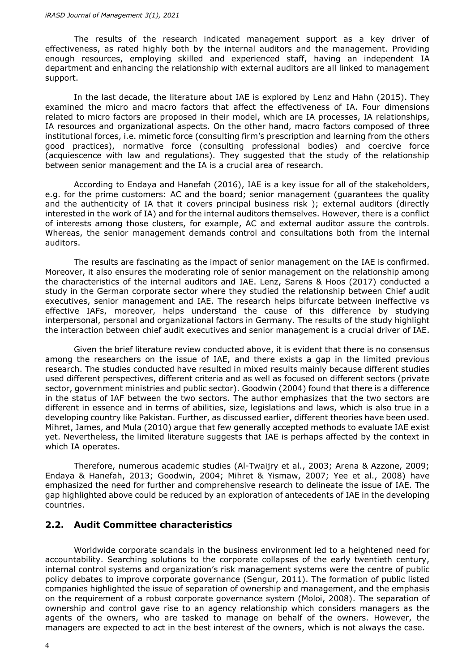The results of the research indicated management support as a key driver of effectiveness, as rated highly both by the internal auditors and the management. Providing enough resources, employing skilled and experienced staff, having an independent IA department and enhancing the relationship with external auditors are all linked to management support.

In the last decade, the literature about IAE is explored by Lenz and Hahn (2015). They examined the micro and macro factors that affect the effectiveness of IA. Four dimensions related to micro factors are proposed in their model, which are IA processes, IA relationships, IA resources and organizational aspects. On the other hand, macro factors composed of three institutional forces, i.e. mimetic force (consulting firm's prescription and learning from the others good practices), normative force (consulting professional bodies) and coercive force (acquiescence with law and regulations). They suggested that the study of the relationship between senior management and the IA is a crucial area of research.

According to Endaya and Hanefah (2016), IAE is a key issue for all of the stakeholders, e.g. for the prime customers: AC and the board; senior management (guarantees the quality and the authenticity of IA that it covers principal business risk ); external auditors (directly interested in the work of IA) and for the internal auditors themselves. However, there is a conflict of interests among those clusters, for example, AC and external auditor assure the controls. Whereas, the senior management demands control and consultations both from the internal auditors.

The results are fascinating as the impact of senior management on the IAE is confirmed. Moreover, it also ensures the moderating role of senior management on the relationship among the characteristics of the internal auditors and IAE. Lenz, Sarens & Hoos (2017) conducted a study in the German corporate sector where they studied the relationship between Chief audit executives, senior management and IAE. The research helps bifurcate between ineffective vs effective IAFs, moreover, helps understand the cause of this difference by studying interpersonal, personal and organizational factors in Germany. The results of the study highlight the interaction between chief audit executives and senior management is a crucial driver of IAE.

Given the brief literature review conducted above, it is evident that there is no consensus among the researchers on the issue of IAE, and there exists a gap in the limited previous research. The studies conducted have resulted in mixed results mainly because different studies used different perspectives, different criteria and as well as focused on different sectors (private sector, government ministries and public sector). Goodwin (2004) found that there is a difference in the status of IAF between the two sectors. The author emphasizes that the two sectors are different in essence and in terms of abilities, size, legislations and laws, which is also true in a developing country like Pakistan. Further, as discussed earlier, different theories have been used. Mihret, James, and Mula (2010) argue that few generally accepted methods to evaluate IAE exist yet. Nevertheless, the limited literature suggests that IAE is perhaps affected by the context in which IA operates.

Therefore, numerous academic studies (Al-Twaijry et al., 2003; Arena & Azzone, 2009; Endaya & Hanefah, 2013; Goodwin, 2004; Mihret & Yismaw, 2007; Yee et al., 2008) have emphasized the need for further and comprehensive research to delineate the issue of IAE. The gap highlighted above could be reduced by an exploration of antecedents of IAE in the developing countries.

# **2.2. Audit Committee characteristics**

Worldwide corporate scandals in the business environment led to a heightened need for accountability. Searching solutions to the corporate collapses of the early twentieth century, internal control systems and organization's risk management systems were the centre of public policy debates to improve corporate governance (Sengur, 2011). The formation of public listed companies highlighted the issue of separation of ownership and management, and the emphasis on the requirement of a robust corporate governance system (Moloi, 2008). The separation of ownership and control gave rise to an agency relationship which considers managers as the agents of the owners, who are tasked to manage on behalf of the owners. However, the managers are expected to act in the best interest of the owners, which is not always the case.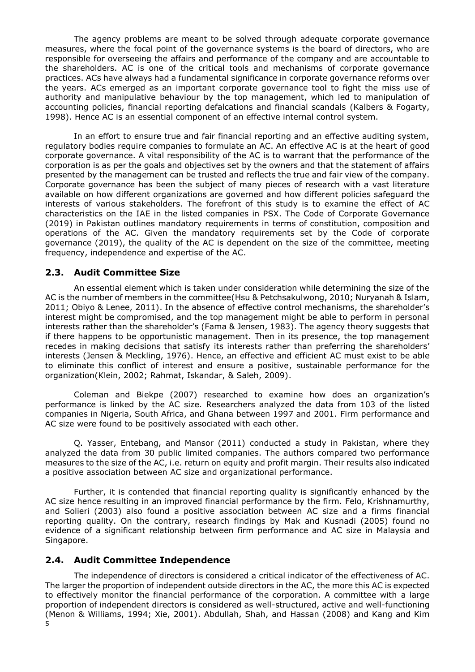The agency problems are meant to be solved through adequate corporate governance measures, where the focal point of the governance systems is the board of directors, who are responsible for overseeing the affairs and performance of the company and are accountable to the shareholders. AC is one of the critical tools and mechanisms of corporate governance practices. ACs have always had a fundamental significance in corporate governance reforms over the years. ACs emerged as an important corporate governance tool to fight the miss use of authority and manipulative behaviour by the top management, which led to manipulation of accounting policies, financial reporting defalcations and financial scandals (Kalbers & Fogarty, 1998). Hence AC is an essential component of an effective internal control system.

In an effort to ensure true and fair financial reporting and an effective auditing system, regulatory bodies require companies to formulate an AC. An effective AC is at the heart of good corporate governance. A vital responsibility of the AC is to warrant that the performance of the corporation is as per the goals and objectives set by the owners and that the statement of affairs presented by the management can be trusted and reflects the true and fair view of the company. Corporate governance has been the subject of many pieces of research with a vast literature available on how different organizations are governed and how different policies safeguard the interests of various stakeholders. The forefront of this study is to examine the effect of AC characteristics on the IAE in the listed companies in PSX. The Code of Corporate Governance (2019) in Pakistan outlines mandatory requirements in terms of constitution, composition and operations of the AC. Given the mandatory requirements set by the Code of corporate governance (2019), the quality of the AC is dependent on the size of the committee, meeting frequency, independence and expertise of the AC.

#### **2.3. Audit Committee Size**

An essential element which is taken under consideration while determining the size of the AC is the number of members in the committee(Hsu & Petchsakulwong, 2010; Nuryanah & Islam, 2011; Obiyo & Lenee, 2011). In the absence of effective control mechanisms, the shareholder's interest might be compromised, and the top management might be able to perform in personal interests rather than the shareholder's (Fama & Jensen, 1983). The agency theory suggests that if there happens to be opportunistic management. Then in its presence, the top management recedes in making decisions that satisfy its interests rather than preferring the shareholders' interests (Jensen & Meckling, 1976). Hence, an effective and efficient AC must exist to be able to eliminate this conflict of interest and ensure a positive, sustainable performance for the organization(Klein, 2002; Rahmat, Iskandar, & Saleh, 2009).

Coleman and Biekpe (2007) researched to examine how does an organization's performance is linked by the AC size. Researchers analyzed the data from 103 of the listed companies in Nigeria, South Africa, and Ghana between 1997 and 2001. Firm performance and AC size were found to be positively associated with each other.

Q. Yasser, Entebang, and Mansor (2011) conducted a study in Pakistan, where they analyzed the data from 30 public limited companies. The authors compared two performance measures to the size of the AC, i.e. return on equity and profit margin. Their results also indicated a positive association between AC size and organizational performance.

Further, it is contended that financial reporting quality is significantly enhanced by the AC size hence resulting in an improved financial performance by the firm. Felo, Krishnamurthy, and Solieri (2003) also found a positive association between AC size and a firms financial reporting quality. On the contrary, research findings by Mak and Kusnadi (2005) found no evidence of a significant relationship between firm performance and AC size in Malaysia and Singapore.

#### **2.4. Audit Committee Independence**

5 The independence of directors is considered a critical indicator of the effectiveness of AC. The larger the proportion of independent outside directors in the AC, the more this AC is expected to effectively monitor the financial performance of the corporation. A committee with a large proportion of independent directors is considered as well-structured, active and well-functioning (Menon & Williams, 1994; Xie, 2001). Abdullah, Shah, and Hassan (2008) and Kang and Kim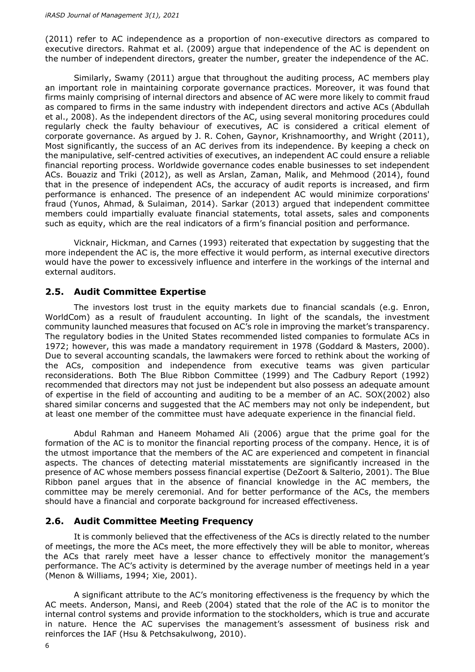(2011) refer to AC independence as a proportion of non-executive directors as compared to executive directors. Rahmat et al. (2009) argue that independence of the AC is dependent on the number of independent directors, greater the number, greater the independence of the AC.

Similarly, Swamy (2011) argue that throughout the auditing process, AC members play an important role in maintaining corporate governance practices. Moreover, it was found that firms mainly comprising of internal directors and absence of AC were more likely to commit fraud as compared to firms in the same industry with independent directors and active ACs (Abdullah et al., 2008). As the independent directors of the AC, using several monitoring procedures could regularly check the faulty behaviour of executives, AC is considered a critical element of corporate governance. As argued by J. R. Cohen, Gaynor, Krishnamoorthy, and Wright (2011), Most significantly, the success of an AC derives from its independence. By keeping a check on the manipulative, self-centred activities of executives, an independent AC could ensure a reliable financial reporting process. Worldwide governance codes enable businesses to set independent ACs. Bouaziz and Triki (2012), as well as Arslan, Zaman, Malik, and Mehmood (2014), found that in the presence of independent ACs, the accuracy of audit reports is increased, and firm performance is enhanced. The presence of an independent AC would minimize corporations' fraud (Yunos, Ahmad, & Sulaiman, 2014). Sarkar (2013) argued that independent committee members could impartially evaluate financial statements, total assets, sales and components such as equity, which are the real indicators of a firm's financial position and performance.

Vicknair, Hickman, and Carnes (1993) reiterated that expectation by suggesting that the more independent the AC is, the more effective it would perform, as internal executive directors would have the power to excessively influence and interfere in the workings of the internal and external auditors.

#### **2.5. Audit Committee Expertise**

The investors lost trust in the equity markets due to financial scandals (e.g. Enron, WorldCom) as a result of fraudulent accounting. In light of the scandals, the investment community launched measures that focused on AC's role in improving the market's transparency. The regulatory bodies in the United States recommended listed companies to formulate ACs in 1972; however, this was made a mandatory requirement in 1978 (Goddard & Masters, 2000). Due to several accounting scandals, the lawmakers were forced to rethink about the working of the ACs, composition and independence from executive teams was given particular reconsiderations. Both The Blue Ribbon Committee (1999) and The Cadbury Report (1992) recommended that directors may not just be independent but also possess an adequate amount of expertise in the field of accounting and auditing to be a member of an AC. SOX(2002) also shared similar concerns and suggested that the AC members may not only be independent, but at least one member of the committee must have adequate experience in the financial field.

Abdul Rahman and Haneem Mohamed Ali (2006) argue that the prime goal for the formation of the AC is to monitor the financial reporting process of the company. Hence, it is of the utmost importance that the members of the AC are experienced and competent in financial aspects. The chances of detecting material misstatements are significantly increased in the presence of AC whose members possess financial expertise (DeZoort & Salterio, 2001). The Blue Ribbon panel argues that in the absence of financial knowledge in the AC members, the committee may be merely ceremonial. And for better performance of the ACs, the members should have a financial and corporate background for increased effectiveness.

#### **2.6. Audit Committee Meeting Frequency**

It is commonly believed that the effectiveness of the ACs is directly related to the number of meetings, the more the ACs meet, the more effectively they will be able to monitor, whereas the ACs that rarely meet have a lesser chance to effectively monitor the management's performance. The AC's activity is determined by the average number of meetings held in a year (Menon & Williams, 1994; Xie, 2001).

A significant attribute to the AC's monitoring effectiveness is the frequency by which the AC meets. Anderson, Mansi, and Reeb (2004) stated that the role of the AC is to monitor the internal control systems and provide information to the stockholders, which is true and accurate in nature. Hence the AC supervises the management's assessment of business risk and reinforces the IAF (Hsu & Petchsakulwong, 2010).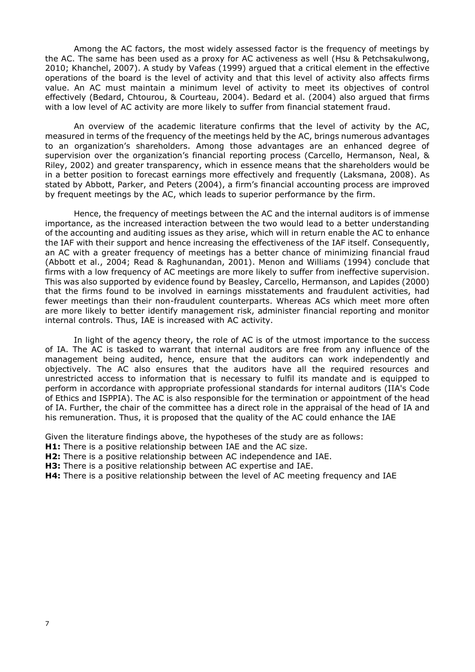Among the AC factors, the most widely assessed factor is the frequency of meetings by the AC. The same has been used as a proxy for AC activeness as well (Hsu & Petchsakulwong, 2010; Khanchel, 2007). A study by Vafeas (1999) argued that a critical element in the effective operations of the board is the level of activity and that this level of activity also affects firms value. An AC must maintain a minimum level of activity to meet its objectives of control effectively (Bedard, Chtourou, & Courteau, 2004). Bedard et al. (2004) also argued that firms with a low level of AC activity are more likely to suffer from financial statement fraud.

An overview of the academic literature confirms that the level of activity by the AC, measured in terms of the frequency of the meetings held by the AC, brings numerous advantages to an organization's shareholders. Among those advantages are an enhanced degree of supervision over the organization's financial reporting process (Carcello, Hermanson, Neal, & Riley, 2002) and greater transparency, which in essence means that the shareholders would be in a better position to forecast earnings more effectively and frequently (Laksmana, 2008). As stated by Abbott, Parker, and Peters (2004), a firm's financial accounting process are improved by frequent meetings by the AC, which leads to superior performance by the firm.

Hence, the frequency of meetings between the AC and the internal auditors is of immense importance, as the increased interaction between the two would lead to a better understanding of the accounting and auditing issues as they arise, which will in return enable the AC to enhance the IAF with their support and hence increasing the effectiveness of the IAF itself. Consequently, an AC with a greater frequency of meetings has a better chance of minimizing financial fraud (Abbott et al., 2004; Read & Raghunandan, 2001). Menon and Williams (1994) conclude that firms with a low frequency of AC meetings are more likely to suffer from ineffective supervision. This was also supported by evidence found by Beasley, Carcello, Hermanson, and Lapides (2000) that the firms found to be involved in earnings misstatements and fraudulent activities, had fewer meetings than their non-fraudulent counterparts. Whereas ACs which meet more often are more likely to better identify management risk, administer financial reporting and monitor internal controls. Thus, IAE is increased with AC activity.

In light of the agency theory, the role of AC is of the utmost importance to the success of IA. The AC is tasked to warrant that internal auditors are free from any influence of the management being audited, hence, ensure that the auditors can work independently and objectively. The AC also ensures that the auditors have all the required resources and unrestricted access to information that is necessary to fulfil its mandate and is equipped to perform in accordance with appropriate professional standards for internal auditors (IIA's [Code](https://www.iia.org.uk/resources/ippf/code-of-ethics/)  [of Ethics](https://www.iia.org.uk/resources/ippf/code-of-ethics/) and ISPPIA). The AC is also responsible for the termination or appointment of the head of IA. Further, the chair of the committee has a direct role in the appraisal of the head of IA and his remuneration. Thus, it is proposed that the quality of the AC could enhance the IAE

Given the literature findings above, the hypotheses of the study are as follows:

- **H1:** There is a positive relationship between IAE and the AC size.
- **H2:** There is a positive relationship between AC independence and IAE.
- **H3:** There is a positive relationship between AC expertise and IAE.
- **H4:** There is a positive relationship between the level of AC meeting frequency and IAE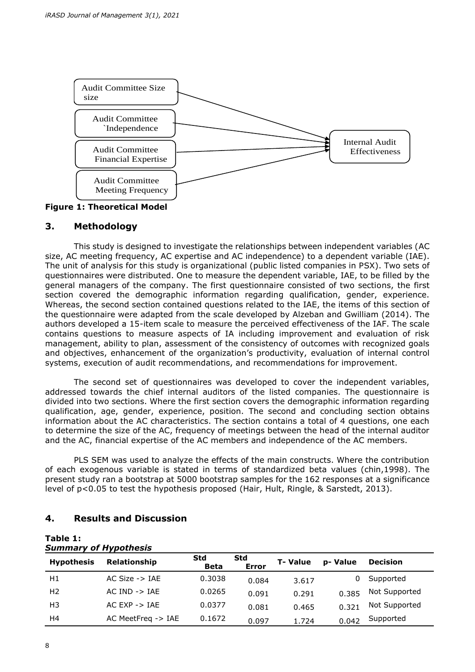

#### **3. Methodology**

This study is designed to investigate the relationships between independent variables (AC size, AC meeting frequency, AC expertise and AC independence) to a dependent variable (IAE). The unit of analysis for this study is organizational (public listed companies in PSX). Two sets of questionnaires were distributed. One to measure the dependent variable, IAE, to be filled by the general managers of the company. The first questionnaire consisted of two sections, the first section covered the demographic information regarding qualification, gender, experience. Whereas, the second section contained questions related to the IAE, the items of this section of the questionnaire were adapted from the scale developed by Alzeban and Gwilliam (2014). The authors developed a 15-item scale to measure the perceived effectiveness of the IAF. The scale contains questions to measure aspects of IA including improvement and evaluation of risk management, ability to plan, assessment of the consistency of outcomes with recognized goals and objectives, enhancement of the organization's productivity, evaluation of internal control systems, execution of audit recommendations, and recommendations for improvement.

The second set of questionnaires was developed to cover the independent variables, addressed towards the chief internal auditors of the listed companies. The questionnaire is divided into two sections. Where the first section covers the demographic information regarding qualification, age, gender, experience, position. The second and concluding section obtains information about the AC characteristics. The section contains a total of 4 questions, one each to determine the size of the AC, frequency of meetings between the head of the internal auditor and the AC, financial expertise of the AC members and independence of the AC members.

PLS SEM was used to analyze the effects of the main constructs. Where the contribution of each exogenous variable is stated in terms of standardized beta values (chin,1998). The present study ran a bootstrap at 5000 bootstrap samples for the 162 responses at a significance level of p<0.05 to test the hypothesis proposed (Hair, Hult, Ringle, & Sarstedt, 2013).

# **4. Results and Discussion**

#### **Table 1:** *Summary of Hypothesis*

| <b>Hypothesis</b> | Relationship                  | <b>Std</b><br><b>Beta</b> | <b>Std</b><br><b>Error</b> | <b>T-Value</b> | p-Value | <b>Decision</b> |
|-------------------|-------------------------------|---------------------------|----------------------------|----------------|---------|-----------------|
| H1                | AC Size $\rightarrow$ IAE     | 0.3038                    | 0.084                      | 3.617          |         | Supported       |
| H <sub>2</sub>    | $AC IND \rightarrow IAE$      | 0.0265                    | 0.091                      | 0.291          | 0.385   | Not Supported   |
| H <sub>3</sub>    | $AC$ $FXP - > IAF$            | 0.0377                    | 0.081                      | 0.465          | 0.321   | Not Supported   |
| H4                | AC MeetFreq $\rightarrow$ IAE | 0.1672                    | 0.097                      | 1.724          | 0.042   | Supported       |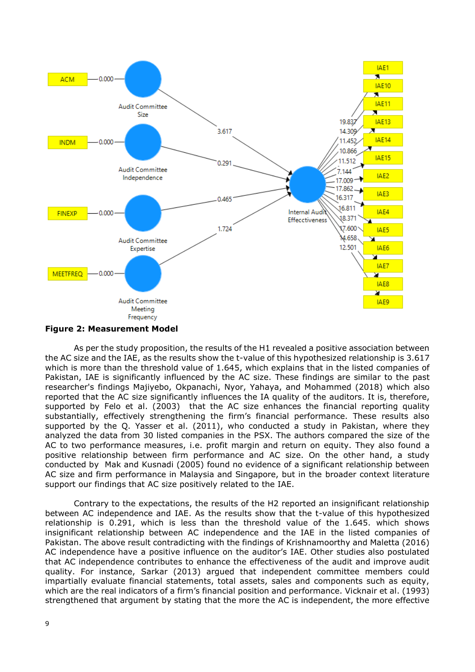

**Figure 2: Measurement Model**

As per the study proposition, the results of the H1 revealed a positive association between the AC size and the IAE, as the results show the t-value of this hypothesized relationship is 3.617 which is more than the threshold value of 1.645, which explains that in the listed companies of Pakistan, IAE is significantly influenced by the AC size. These findings are similar to the past researcher's findings Majiyebo, Okpanachi, Nyor, Yahaya, and Mohammed (2018) which also reported that the AC size significantly influences the IA quality of the auditors. It is, therefore, supported by Felo et al. (2003) that the AC size enhances the financial reporting quality substantially, effectively strengthening the firm's financial performance. These results also supported by the Q. Yasser et al. (2011), who conducted a study in Pakistan, where they analyzed the data from 30 listed companies in the PSX. The authors compared the size of the AC to two performance measures, i.e. profit margin and return on equity. They also found a positive relationship between firm performance and AC size. On the other hand, a study conducted by Mak and Kusnadi (2005) found no evidence of a significant relationship between AC size and firm performance in Malaysia and Singapore, but in the broader context literature support our findings that AC size positively related to the IAE.

Contrary to the expectations, the results of the H2 reported an insignificant relationship between AC independence and IAE. As the results show that the t-value of this hypothesized relationship is 0.291, which is less than the threshold value of the 1.645. which shows insignificant relationship between AC independence and the IAE in the listed companies of Pakistan. The above result contradicting with the findings of Krishnamoorthy and Maletta (2016) AC independence have a positive influence on the auditor's IAE. Other studies also postulated that AC independence contributes to enhance the effectiveness of the audit and improve audit quality. For instance, Sarkar (2013) argued that independent committee members could impartially evaluate financial statements, total assets, sales and components such as equity, which are the real indicators of a firm's financial position and performance. Vicknair et al. (1993) strengthened that argument by stating that the more the AC is independent, the more effective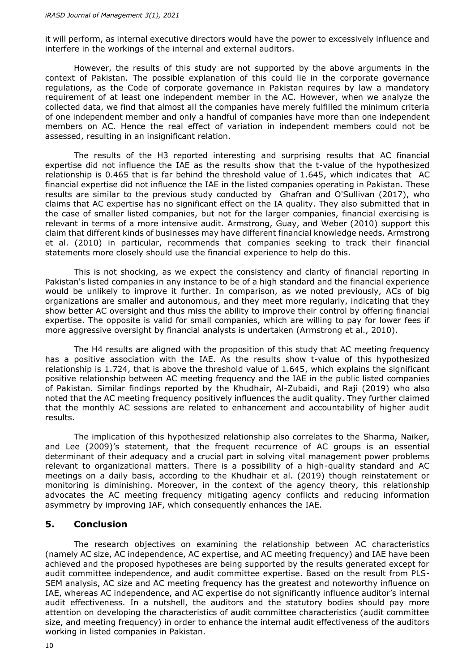it will perform, as internal executive directors would have the power to excessively influence and interfere in the workings of the internal and external auditors.

However, the results of this study are not supported by the above arguments in the context of Pakistan. The possible explanation of this could lie in the corporate governance regulations, as the Code of corporate governance in Pakistan requires by law a mandatory requirement of at least one independent member in the AC. However, when we analyze the collected data, we find that almost all the companies have merely fulfilled the minimum criteria of one independent member and only a handful of companies have more than one independent members on AC. Hence the real effect of variation in independent members could not be assessed, resulting in an insignificant relation.

The results of the H3 reported interesting and surprising results that AC financial expertise did not influence the IAE as the results show that the t-value of the hypothesized relationship is 0.465 that is far behind the threshold value of 1.645, which indicates that AC financial expertise did not influence the IAE in the listed companies operating in Pakistan. These results are similar to the previous study conducted by Ghafran and O'Sullivan (2017), who claims that AC expertise has no significant effect on the IA quality. They also submitted that in the case of smaller listed companies, but not for the larger companies, financial exercising is relevant in terms of a more intensive audit. Armstrong, Guay, and Weber (2010) support this claim that different kinds of businesses may have different financial knowledge needs. Armstrong et al. (2010) in particular, recommends that companies seeking to track their financial statements more closely should use the financial experience to help do this.

This is not shocking, as we expect the consistency and clarity of financial reporting in Pakistan's listed companies in any instance to be of a high standard and the financial experience would be unlikely to improve it further. In comparison, as we noted previously, ACs of big organizations are smaller and autonomous, and they meet more regularly, indicating that they show better AC oversight and thus miss the ability to improve their control by offering financial expertise. The opposite is valid for small companies, which are willing to pay for lower fees if more aggressive oversight by financial analysts is undertaken (Armstrong et al., 2010).

The H4 results are aligned with the proposition of this study that AC meeting frequency has a positive association with the IAE. As the results show t-value of this hypothesized relationship is 1.724, that is above the threshold value of 1.645, which explains the significant positive relationship between AC meeting frequency and the IAE in the public listed companies of Pakistan. Similar findings reported by the Khudhair, Al-Zubaidi, and Raji (2019) who also noted that the AC meeting frequency positively influences the audit quality. They further claimed that the monthly AC sessions are related to enhancement and accountability of higher audit results.

The implication of this hypothesized relationship also correlates to the Sharma, Naiker, and Lee (2009)'s statement, that the frequent recurrence of AC groups is an essential determinant of their adequacy and a crucial part in solving vital management power problems relevant to organizational matters. There is a possibility of a high-quality standard and AC meetings on a daily basis, according to the Khudhair et al. (2019) though reinstatement or monitoring is diminishing. Moreover, in the context of the agency theory, this relationship advocates the AC meeting frequency mitigating agency conflicts and reducing information asymmetry by improving IAF, which consequently enhances the IAE.

#### **5. Conclusion**

The research objectives on examining the relationship between AC characteristics (namely AC size, AC independence, AC expertise, and AC meeting frequency) and IAE have been achieved and the proposed hypotheses are being supported by the results generated except for audit committee independence, and audit committee expertise. Based on the result from PLS-SEM analysis, AC size and AC meeting frequency has the greatest and noteworthy influence on IAE, whereas AC independence, and AC expertise do not significantly influence auditor's internal audit effectiveness. In a nutshell, the auditors and the statutory bodies should pay more attention on developing the characteristics of audit committee characteristics (audit committee size, and meeting frequency) in order to enhance the internal audit effectiveness of the auditors working in listed companies in Pakistan.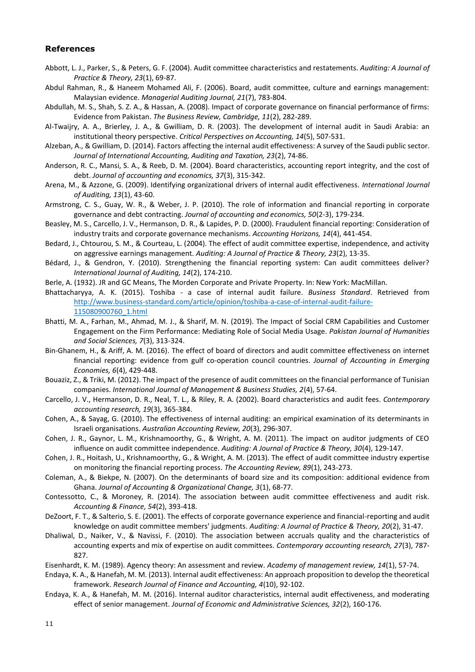#### **References**

- Abbott, L. J., Parker, S., & Peters, G. F. (2004). Audit committee characteristics and restatements. *Auditing: A Journal of Practice & Theory, 23*(1), 69-87.
- Abdul Rahman, R., & Haneem Mohamed Ali, F. (2006). Board, audit committee, culture and earnings management: Malaysian evidence. *Managerial Auditing Journal, 21*(7), 783-804.
- Abdullah, M. S., Shah, S. Z. A., & Hassan, A. (2008). Impact of corporate governance on financial performance of firms: Evidence from Pakistan. *The Business Review, Cambridge, 11*(2), 282-289.
- Al-Twaijry, A. A., Brierley, J. A., & Gwilliam, D. R. (2003). The development of internal audit in Saudi Arabia: an institutional theory perspective. *Critical Perspectives on Accounting, 14*(5), 507-531.
- Alzeban, A., & Gwilliam, D. (2014). Factors affecting the internal audit effectiveness: A survey of the Saudi public sector. *Journal of International Accounting, Auditing and Taxation, 23*(2), 74-86.
- Anderson, R. C., Mansi, S. A., & Reeb, D. M. (2004). Board characteristics, accounting report integrity, and the cost of debt. *Journal of accounting and economics, 37*(3), 315-342.
- Arena, M., & Azzone, G. (2009). Identifying organizational drivers of internal audit effectiveness. *International Journal of Auditing, 13*(1), 43-60.
- Armstrong, C. S., Guay, W. R., & Weber, J. P. (2010). The role of information and financial reporting in corporate governance and debt contracting. *Journal of accounting and economics, 50*(2-3), 179-234.
- Beasley, M. S., Carcello, J. V., Hermanson, D. R., & Lapides, P. D. (2000). Fraudulent financial reporting: Consideration of industry traits and corporate governance mechanisms. *Accounting Horizons, 14*(4), 441-454.
- Bedard, J., Chtourou, S. M., & Courteau, L. (2004). The effect of audit committee expertise, independence, and activity on aggressive earnings management. *Auditing: A Journal of Practice & Theory, 23*(2), 13-35.
- Bédard, J., & Gendron, Y. (2010). Strengthening the financial reporting system: Can audit committees deliver? *International Journal of Auditing, 14*(2), 174-210.
- Berle, A. (1932). JR and GC Means, The Morden Corporate and Private Property. In: New York: MacMillan.
- Bhattacharyya, A. K. (2015). Toshiba a case of internal audit failure. *Business Standard*. Retrieved from [http://www.business-standard.com/article/opinion/toshiba-a-case-of-internal-audit-failure-](http://www.business-standard.com/article/opinion/toshiba-a-case-of-internal-audit-failure-115080900760_1.html)[115080900760\\_1.html](http://www.business-standard.com/article/opinion/toshiba-a-case-of-internal-audit-failure-115080900760_1.html)
- Bhatti, M. A., Farhan, M., Ahmad, M. J., & Sharif, M. N. (2019). The Impact of Social CRM Capabilities and Customer Engagement on the Firm Performance: Mediating Role of Social Media Usage. *Pakistan Journal of Humanities and Social Sciences, 7*(3), 313-324.
- Bin-Ghanem, H., & Ariff, A. M. (2016). The effect of board of directors and audit committee effectiveness on internet financial reporting: evidence from gulf co-operation council countries. *Journal of Accounting in Emerging Economies, 6*(4), 429-448.
- Bouaziz, Z., & Triki, M. (2012). The impact of the presence of audit committees on the financial performance of Tunisian companies. *International Journal of Management & Business Studies, 2*(4), 57-64.
- Carcello, J. V., Hermanson, D. R., Neal, T. L., & Riley, R. A. (2002). Board characteristics and audit fees. *Contemporary accounting research, 19*(3), 365-384.
- Cohen, A., & Sayag, G. (2010). The effectiveness of internal auditing: an empirical examination of its determinants in Israeli organisations. *Australian Accounting Review, 20*(3), 296-307.
- Cohen, J. R., Gaynor, L. M., Krishnamoorthy, G., & Wright, A. M. (2011). The impact on auditor judgments of CEO influence on audit committee independence. *Auditing: A Journal of Practice & Theory, 30*(4), 129-147.
- Cohen, J. R., Hoitash, U., Krishnamoorthy, G., & Wright, A. M. (2013). The effect of audit committee industry expertise on monitoring the financial reporting process. *The Accounting Review, 89*(1), 243-273.
- Coleman, A., & Biekpe, N. (2007). On the determinants of board size and its composition: additional evidence from Ghana. *Journal of Accounting & Organizational Change, 3*(1), 68-77.
- Contessotto, C., & Moroney, R. (2014). The association between audit committee effectiveness and audit risk. *Accounting & Finance, 54*(2), 393-418.
- DeZoort, F. T., & Salterio, S. E. (2001). The effects of corporate governance experience and financial-reporting and audit knowledge on audit committee members' judgments. *Auditing: A Journal of Practice & Theory, 20*(2), 31-47.
- Dhaliwal, D., Naiker, V., & Navissi, F. (2010). The association between accruals quality and the characteristics of accounting experts and mix of expertise on audit committees. *Contemporary accounting research, 27*(3), 787- 827.
- Eisenhardt, K. M. (1989). Agency theory: An assessment and review. *Academy of management review, 14*(1), 57-74.
- Endaya, K. A., & Hanefah, M. M. (2013). Internal audit effectiveness: An approach proposition to develop the theoretical framework. *Research Journal of Finance and Accounting, 4*(10), 92-102.
- Endaya, K. A., & Hanefah, M. M. (2016). Internal auditor characteristics, internal audit effectiveness, and moderating effect of senior management. *Journal of Economic and Administrative Sciences, 32*(2), 160-176.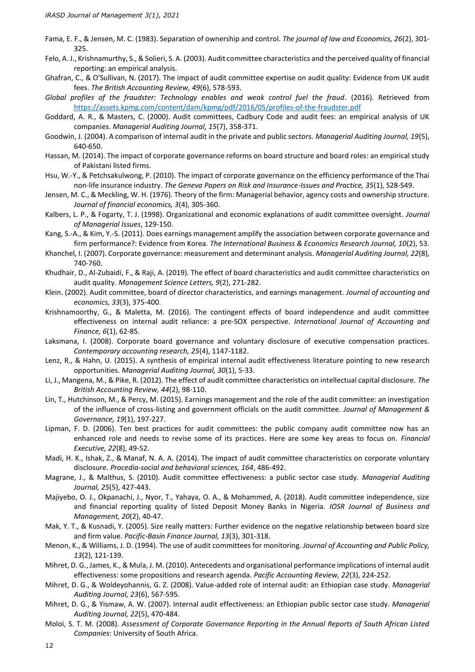- Fama, E. F., & Jensen, M. C. (1983). Separation of ownership and control. *The journal of law and Economics, 26*(2), 301- 325.
- Felo, A. J., Krishnamurthy, S., & Solieri, S. A. (2003). Audit committee characteristics and the perceived quality of financial reporting: an empirical analysis.
- Ghafran, C., & O'Sullivan, N. (2017). The impact of audit committee expertise on audit quality: Evidence from UK audit fees. *The British Accounting Review, 49*(6), 578-593.
- *Global profiles of the fraudster: Technology enables and weak control fuel the fraud*. (2016). Retrieved from <https://assets.kpmg.com/content/dam/kpmg/pdf/2016/05/profiles-of-the-fraudster.pdf>
- Goddard, A. R., & Masters, C. (2000). Audit committees, Cadbury Code and audit fees: an empirical analysis of UK companies. *Managerial Auditing Journal, 15*(7), 358-371.
- Goodwin, J. (2004). A comparison of internal audit in the private and public sectors. *Managerial Auditing Journal, 19*(5), 640-650.
- Hassan, M. (2014). The impact of corporate governance reforms on board structure and board roles: an empirical study of Pakistani listed firms.
- Hsu, W.-Y., & Petchsakulwong, P. (2010). The impact of corporate governance on the efficiency performance of the Thai non-life insurance industry. *The Geneva Papers on Risk and Insurance-Issues and Practice, 35*(1), S28-S49.
- Jensen, M. C., & Meckling, W. H. (1976). Theory of the firm: Managerial behavior, agency costs and ownership structure. *Journal of financial economics, 3*(4), 305-360.
- Kalbers, L. P., & Fogarty, T. J. (1998). Organizational and economic explanations of audit committee oversight. *Journal of Managerial Issues*, 129-150.
- Kang, S.-A., & Kim, Y.-S. (2011). Does earnings management amplify the association between corporate governance and firm performance?: Evidence from Korea. *The International Business & Economics Research Journal, 10*(2), 53.
- Khanchel, I. (2007). Corporate governance: measurement and determinant analysis. *Managerial Auditing Journal, 22*(8), 740-760.
- Khudhair, D., Al-Zubaidi, F., & Raji, A. (2019). The effect of board characteristics and audit committee characteristics on audit quality. *Management Science Letters, 9*(2), 271-282.
- Klein. (2002). Audit committee, board of director characteristics, and earnings management. *Journal of accounting and economics, 33*(3), 375-400.
- Krishnamoorthy, G., & Maletta, M. (2016). The contingent effects of board independence and audit committee effectiveness on internal audit reliance: a pre-SOX perspective. *International Journal of Accounting and Finance, 6*(1), 62-85.
- Laksmana, I. (2008). Corporate board governance and voluntary disclosure of executive compensation practices. *Contemporary accounting research, 25*(4), 1147-1182.
- Lenz, R., & Hahn, U. (2015). A synthesis of empirical internal audit effectiveness literature pointing to new research opportunities. *Managerial Auditing Journal, 30*(1), 5-33.
- Li, J., Mangena, M., & Pike, R. (2012). The effect of audit committee characteristics on intellectual capital disclosure. *The British Accounting Review, 44*(2), 98-110.
- Lin, T., Hutchinson, M., & Percy, M. (2015). Earnings management and the role of the audit committee: an investigation of the influence of cross-listing and government officials on the audit committee. *Journal of Management & Governance, 19*(1), 197-227.
- Lipman, F. D. (2006). Ten best practices for audit committees: the public company audit committee now has an enhanced role and needs to revise some of its practices. Here are some key areas to focus on. *Financial Executive, 22*(8), 49-52.
- Madi, H. K., Ishak, Z., & Manaf, N. A. A. (2014). The impact of audit committee characteristics on corporate voluntary disclosure. *Procedia-social and behavioral sciences, 164*, 486-492.
- Magrane, J., & Malthus, S. (2010). Audit committee effectiveness: a public sector case study. *Managerial Auditing Journal, 25*(5), 427-443.
- Majiyebo, O. J., Okpanachi, J., Nyor, T., Yahaya, O. A., & Mohammed, A. (2018). Audit committee independence, size and financial reporting quality of listed Deposit Money Banks in Nigeria. *IOSR Journal of Business and Management, 20*(2), 40-47.
- Mak, Y. T., & Kusnadi, Y. (2005). Size really matters: Further evidence on the negative relationship between board size and firm value. *Pacific-Basin Finance Journal, 13*(3), 301-318.
- Menon, K., & Williams, J. D. (1994). The use of audit committees for monitoring. *Journal of Accounting and Public Policy, 13*(2), 121-139.
- Mihret, D. G., James, K., & Mula, J. M. (2010). Antecedents and organisational performance implications of internal audit effectiveness: some propositions and research agenda. *Pacific Accounting Review, 22*(3), 224-252.
- Mihret, D. G., & Woldeyohannis, G. Z. (2008). Value-added role of internal audit: an Ethiopian case study. *Managerial Auditing Journal, 23*(6), 567-595.
- Mihret, D. G., & Yismaw, A. W. (2007). Internal audit effectiveness: an Ethiopian public sector case study. *Managerial Auditing Journal, 22*(5), 470-484.
- Moloi, S. T. M. (2008). *Assessment of Corporate Governance Reporting in the Annual Reports of South African Listed Companies*: University of South Africa.